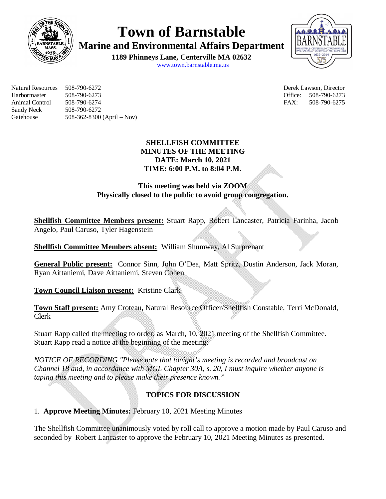

**Town of Barnstable**

**Marine and Environmental Affairs Department**

**1189 Phinneys Lane, Centerville MA 02632** www.town.barnstable.ma.us



Natural Resources 508-790-6272 Derek Lawson, Director Harbormaster 508-790-6273 Office: 508-790-6273 Animal Control 508-790-6274 FAX: 508-790-6275 Sandy Neck 508-790-6272 Gatehouse 508-362-8300 (April – Nov)

## **SHELLFISH COMMITTEE MINUTES OF THE MEETING DATE: March 10, 2021 TIME: 6:00 P.M. to 8:04 P.M.**

# **This meeting was held via ZOOM Physically closed to the public to avoid group congregation.**

**Shellfish Committee Members present:** Stuart Rapp, Robert Lancaster, Patricia Farinha, Jacob Angelo, Paul Caruso, Tyler Hagenstein

**Shellfish Committee Members absent:** William Shumway, Al Surprenant

**General Public present:** Connor Sinn, John O'Dea, Matt Spritz, Dustin Anderson, Jack Moran, Ryan Aittaniemi, Dave Aittaniemi, Steven Cohen

**Town Council Liaison present:** Kristine Clark

**Town Staff present:** Amy Croteau, Natural Resource Officer/Shellfish Constable, Terri McDonald, Clerk

Stuart Rapp called the meeting to order, as March, 10, 2021 meeting of the Shellfish Committee. Stuart Rapp read a notice at the beginning of the meeting:

*NOTICE OF RECORDING "Please note that tonight's meeting is recorded and broadcast on Channel 18 and, in accordance with MGL Chapter 30A, s. 20, I must inquire whether anyone is taping this meeting and to please make their presence known."*

# **TOPICS FOR DISCUSSION**

1. **Approve Meeting Minutes:** February 10, 2021 Meeting Minutes

The Shellfish Committee unanimously voted by roll call to approve a motion made by Paul Caruso and seconded by Robert Lancaster to approve the February 10, 2021 Meeting Minutes as presented.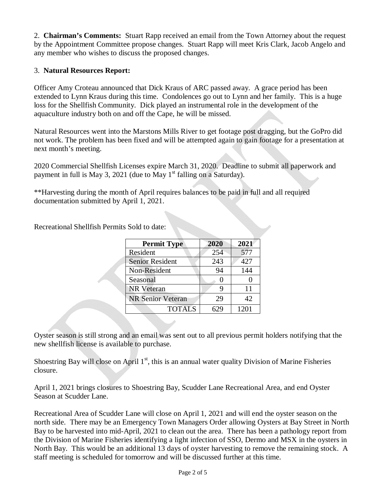2. **Chairman's Comments:** Stuart Rapp received an email from the Town Attorney about the request by the Appointment Committee propose changes. Stuart Rapp will meet Kris Clark, Jacob Angelo and any member who wishes to discuss the proposed changes.

## 3. **Natural Resources Report:**

Officer Amy Croteau announced that Dick Kraus of ARC passed away. A grace period has been extended to Lynn Kraus during this time. Condolences go out to Lynn and her family. This is a huge loss for the Shellfish Community. Dick played an instrumental role in the development of the aquaculture industry both on and off the Cape, he will be missed.

Natural Resources went into the Marstons Mills River to get footage post dragging, but the GoPro did not work. The problem has been fixed and will be attempted again to gain footage for a presentation at next month's meeting.

2020 Commercial Shellfish Licenses expire March 31, 2020. Deadline to submit all paperwork and payment in full is May 3, 2021 (due to May  $1<sup>st</sup>$  falling on a Saturday).

\*\*Harvesting during the month of April requires balances to be paid in full and all required documentation submitted by April 1, 2021.

Recreational Shellfish Permits Sold to date:

| <b>Permit Type</b>       | 2020 | 2021 |
|--------------------------|------|------|
| Resident                 | 254  | 577  |
| <b>Senior Resident</b>   | 243  | 427  |
| Non-Resident             | 94   | 144  |
| Seasonal                 |      |      |
| <b>NR</b> Veteran        | Q    | 11   |
| <b>NR Senior Veteran</b> | 29   | 42   |
| <b>TOTALS</b>            |      | 1201 |

Oyster season is still strong and an email was sent out to all previous permit holders notifying that the new shellfish license is available to purchase.

Shoestring Bay will close on April 1<sup>st</sup>, this is an annual water quality Division of Marine Fisheries closure.

April 1, 2021 brings closures to Shoestring Bay, Scudder Lane Recreational Area, and end Oyster Season at Scudder Lane.

Recreational Area of Scudder Lane will close on April 1, 2021 and will end the oyster season on the north side. There may be an Emergency Town Managers Order allowing Oysters at Bay Street in North Bay to be harvested into mid-April, 2021 to clean out the area. There has been a pathology report from the Division of Marine Fisheries identifying a light infection of SSO, Dermo and MSX in the oysters in North Bay. This would be an additional 13 days of oyster harvesting to remove the remaining stock. A staff meeting is scheduled for tomorrow and will be discussed further at this time.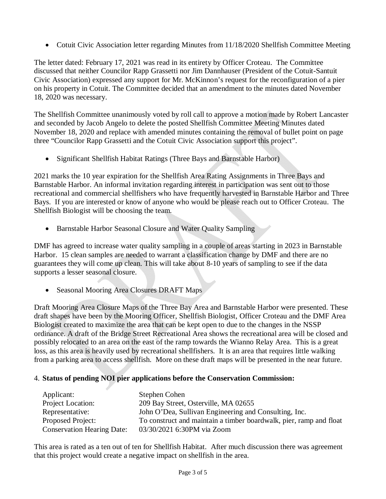• Cotuit Civic Association letter regarding Minutes from 11/18/2020 Shellfish Committee Meeting

The letter dated: February 17, 2021 was read in its entirety by Officer Croteau. The Committee discussed that neither Councilor Rapp Grassetti nor Jim Dannhauser (President of the Cotuit-Santuit Civic Association) expressed any support for Mr. McKinnon's request for the reconfiguration of a pier on his property in Cotuit. The Committee decided that an amendment to the minutes dated November 18, 2020 was necessary.

The Shellfish Committee unanimously voted by roll call to approve a motion made by Robert Lancaster and seconded by Jacob Angelo to delete the posted Shellfish Committee Meeting Minutes dated November 18, 2020 and replace with amended minutes containing the removal of bullet point on page three "Councilor Rapp Grassetti and the Cotuit Civic Association support this project".

• Significant Shellfish Habitat Ratings (Three Bays and Barnstable Harbor)

2021 marks the 10 year expiration for the Shellfish Area Rating Assignments in Three Bays and Barnstable Harbor. An informal invitation regarding interest in participation was sent out to those recreational and commercial shellfishers who have frequently harvested in Barnstable Harbor and Three Bays. If you are interested or know of anyone who would be please reach out to Officer Croteau. The Shellfish Biologist will be choosing the team.

Barnstable Harbor Seasonal Closure and Water Quality Sampling

DMF has agreed to increase water quality sampling in a couple of areas starting in 2023 in Barnstable Harbor. 15 clean samples are needed to warrant a classification change by DMF and there are no guarantees they will come up clean. This will take about 8-10 years of sampling to see if the data supports a lesser seasonal closure.

• Seasonal Mooring Area Closures DRAFT Maps

Draft Mooring Area Closure Maps of the Three Bay Area and Barnstable Harbor were presented. These draft shapes have been by the Mooring Officer, Shellfish Biologist, Officer Croteau and the DMF Area Biologist created to maximize the area that can be kept open to due to the changes in the NSSP ordinance. A draft of the Bridge Street Recreational Area shows the recreational area will be closed and possibly relocated to an area on the east of the ramp towards the Wianno Relay Area. This is a great loss, as this area is heavily used by recreational shellfishers. It is an area that requires little walking from a parking area to access shellfish. More on these draft maps will be presented in the near future.

#### 4. **Status of pending NOI pier applications before the Conservation Commission:**

| Applicant:                        | Stephen Cohen                                                      |
|-----------------------------------|--------------------------------------------------------------------|
| Project Location:                 | 209 Bay Street, Osterville, MA 02655                               |
| Representative:                   | John O'Dea, Sullivan Engineering and Consulting, Inc.              |
| Proposed Project:                 | To construct and maintain a timber boardwalk, pier, ramp and float |
| <b>Conservation Hearing Date:</b> | 03/30/2021 6:30PM via Zoom                                         |

This area is rated as a ten out of ten for Shellfish Habitat. After much discussion there was agreement that this project would create a negative impact on shellfish in the area.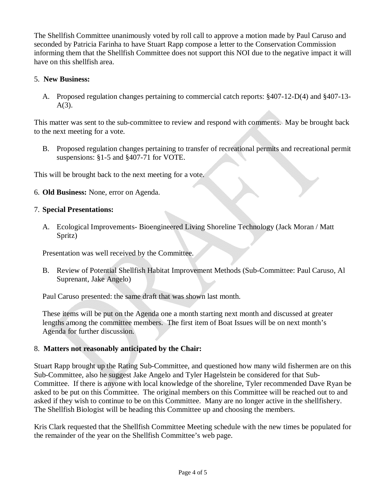The Shellfish Committee unanimously voted by roll call to approve a motion made by Paul Caruso and seconded by Patricia Farinha to have Stuart Rapp compose a letter to the Conservation Commission informing them that the Shellfish Committee does not support this NOI due to the negative impact it will have on this shellfish area.

#### 5. **New Business:**

A. Proposed regulation changes pertaining to commercial catch reports: §407-12-D(4) and §407-13- A(3).

This matter was sent to the sub-committee to review and respond with comments. May be brought back to the next meeting for a vote.

B. Proposed regulation changes pertaining to transfer of recreational permits and recreational permit suspensions: §1-5 and §407-71 for VOTE.

This will be brought back to the next meeting for a vote.

6. **Old Business:** None, error on Agenda.

## 7. **Special Presentations:**

A. Ecological Improvements- Bioengineered Living Shoreline Technology (Jack Moran / Matt Spritz)

Presentation was well received by the Committee.

B. Review of Potential Shellfish Habitat Improvement Methods (Sub-Committee: Paul Caruso, Al Suprenant, Jake Angelo)

Paul Caruso presented: the same draft that was shown last month.

These items will be put on the Agenda one a month starting next month and discussed at greater lengths among the committee members. The first item of Boat Issues will be on next month's Agenda for further discussion.

## 8. **Matters not reasonably anticipated by the Chair:**

Stuart Rapp brought up the Rating Sub-Committee, and questioned how many wild fishermen are on this Sub-Committee, also he suggest Jake Angelo and Tyler Hagelstein be considered for that Sub-Committee. If there is anyone with local knowledge of the shoreline, Tyler recommended Dave Ryan be asked to be put on this Committee. The original members on this Committee will be reached out to and asked if they wish to continue to be on this Committee. Many are no longer active in the shellfishery. The Shellfish Biologist will be heading this Committee up and choosing the members.

Kris Clark requested that the Shellfish Committee Meeting schedule with the new times be populated for the remainder of the year on the Shellfish Committee's web page.